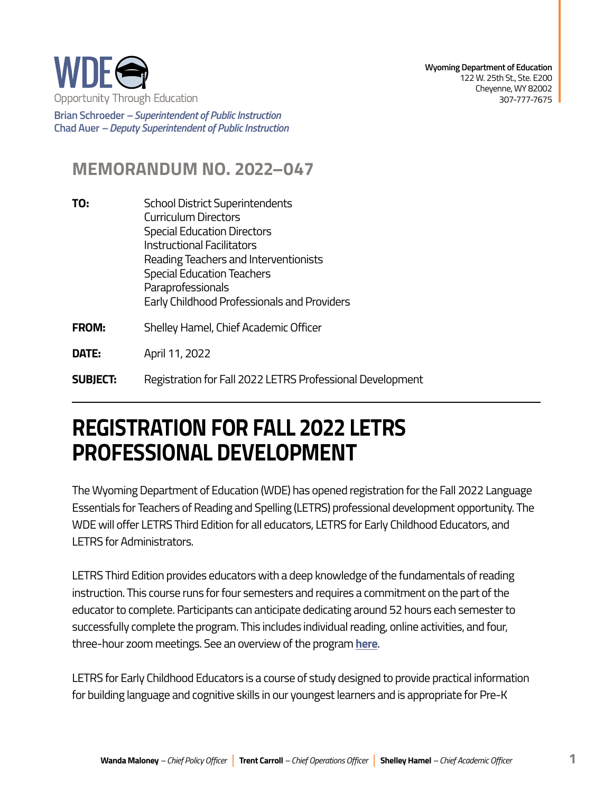

**Brian Schroeder –***Superintendent of Public Instruction*  **Chad Auer** *– Deputy Superintendent of Public Instruction* 

## **MEMORANDUM NO. 2022–047**

- **TO:** School District Superintendents Curriculum Directors Special Education Directors Instructional Facilitators Reading Teachers and Interventionists Special Education Teachers **Paraprofessionals** Early Childhood Professionals and Providers
- **FROM:** Shelley Hamel, Chief Academic Officer

**DATE:** April 11, 2022

**SUBJECT:** Registration for Fall 2022 LETRS Professional Development

## **REGISTRATION FOR FALL 2022 LETRS PROFESSIONAL DEVELOPMENT**

The Wyoming Department of Education (WDE) has opened registration for the Fall 2022 Language Essentials for Teachers of Reading and Spelling (LETRS) professional development opportunity. The WDE will offer LETRS Third Edition for all educators, LETRS for Early Childhood Educators, and LETRS for Administrators.

LETRS Third Edition provides educators with a deep knowledge of the fundamentals of reading instruction. This course runs for four semesters and requires a commitment on the part of the educator to complete. Participants can anticipate dedicating around 52 hours each semester to successfully complete the program. This includes individual reading, online activities, and four, three-hour zoom meetings. See an overview of the program **[here](https://www.lexialearning.com/user_area/uploads/LETRSSuiteBrochure_Feb2022.pdf)**.

LETRS for Early Childhood Educators is a course of study designed to provide practical information for building language and cognitive skills in our youngest learners and is appropriate for Pre-K